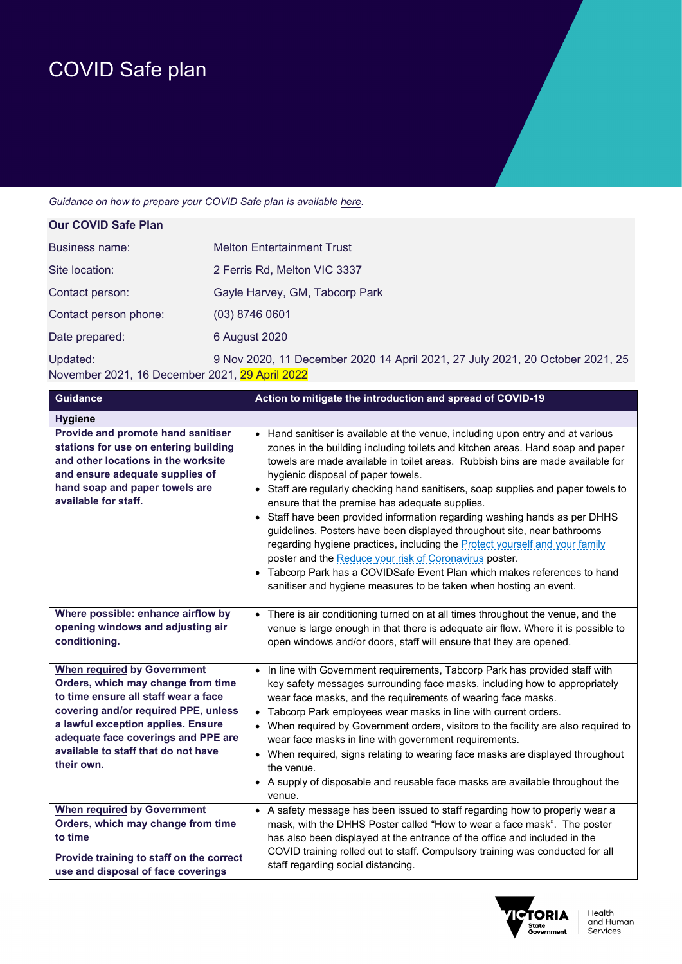## COVID Safe plan

## *Guidance on how to prepare your COVID Safe plan is available here.*

| <b>Our COVID Safe Plan</b>                                 |                                                                               |
|------------------------------------------------------------|-------------------------------------------------------------------------------|
| Business name:                                             | <b>Melton Entertainment Trust</b>                                             |
| Site location:                                             | 2 Ferris Rd, Melton VIC 3337                                                  |
| Contact person:                                            | Gayle Harvey, GM, Tabcorp Park                                                |
| Contact person phone:                                      | $(03)$ 8746 0601                                                              |
| Date prepared:                                             | 6 August 2020                                                                 |
| Updated:<br>November 2021, 16 December 2021, 29 April 2022 | 9 Nov 2020, 11 December 2020 14 April 2021, 27 July 2021, 20 October 2021, 25 |

| <b>Guidance</b>                                                                                                                                                                                                                                                                            | Action to mitigate the introduction and spread of COVID-19                                                                                                                                                                                                                                                                                                                                                                                                                                                                                                                                                                                                                                                                                                                                                                                                                                 |
|--------------------------------------------------------------------------------------------------------------------------------------------------------------------------------------------------------------------------------------------------------------------------------------------|--------------------------------------------------------------------------------------------------------------------------------------------------------------------------------------------------------------------------------------------------------------------------------------------------------------------------------------------------------------------------------------------------------------------------------------------------------------------------------------------------------------------------------------------------------------------------------------------------------------------------------------------------------------------------------------------------------------------------------------------------------------------------------------------------------------------------------------------------------------------------------------------|
| <b>Hygiene</b>                                                                                                                                                                                                                                                                             |                                                                                                                                                                                                                                                                                                                                                                                                                                                                                                                                                                                                                                                                                                                                                                                                                                                                                            |
| Provide and promote hand sanitiser<br>stations for use on entering building<br>and other locations in the worksite<br>and ensure adequate supplies of<br>hand soap and paper towels are<br>available for staff.                                                                            | • Hand sanitiser is available at the venue, including upon entry and at various<br>zones in the building including toilets and kitchen areas. Hand soap and paper<br>towels are made available in toilet areas. Rubbish bins are made available for<br>hygienic disposal of paper towels.<br>• Staff are regularly checking hand sanitisers, soap supplies and paper towels to<br>ensure that the premise has adequate supplies.<br>• Staff have been provided information regarding washing hands as per DHHS<br>guidelines. Posters have been displayed throughout site, near bathrooms<br>regarding hygiene practices, including the <b>Protect yourself and your family</b><br>poster and the Reduce your risk of Coronavirus poster.<br>• Tabcorp Park has a COVIDSafe Event Plan which makes references to hand<br>sanitiser and hygiene measures to be taken when hosting an event. |
| Where possible: enhance airflow by<br>opening windows and adjusting air<br>conditioning.                                                                                                                                                                                                   | • There is air conditioning turned on at all times throughout the venue, and the<br>venue is large enough in that there is adequate air flow. Where it is possible to<br>open windows and/or doors, staff will ensure that they are opened.                                                                                                                                                                                                                                                                                                                                                                                                                                                                                                                                                                                                                                                |
| <b>When required by Government</b><br>Orders, which may change from time<br>to time ensure all staff wear a face<br>covering and/or required PPE, unless<br>a lawful exception applies. Ensure<br>adequate face coverings and PPE are<br>available to staff that do not have<br>their own. | In line with Government requirements, Tabcorp Park has provided staff with<br>$\bullet$<br>key safety messages surrounding face masks, including how to appropriately<br>wear face masks, and the requirements of wearing face masks.<br>• Tabcorp Park employees wear masks in line with current orders.<br>• When required by Government orders, visitors to the facility are also required to<br>wear face masks in line with government requirements.<br>• When required, signs relating to wearing face masks are displayed throughout<br>the venue.<br>• A supply of disposable and reusable face masks are available throughout the<br>venue.                                                                                                                                                                                                                                       |
| <b>When required by Government</b><br>Orders, which may change from time<br>to time<br>Provide training to staff on the correct<br>use and disposal of face coverings                                                                                                                      | • A safety message has been issued to staff regarding how to properly wear a<br>mask, with the DHHS Poster called "How to wear a face mask". The poster<br>has also been displayed at the entrance of the office and included in the<br>COVID training rolled out to staff. Compulsory training was conducted for all<br>staff regarding social distancing.                                                                                                                                                                                                                                                                                                                                                                                                                                                                                                                                |

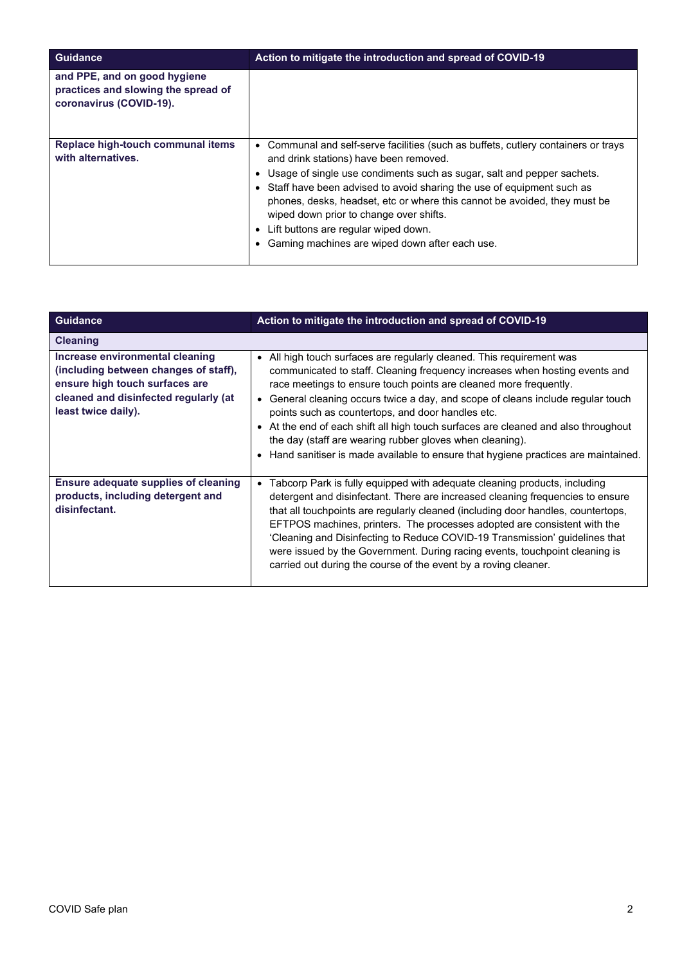| <b>Guidance</b>                                                                                | Action to mitigate the introduction and spread of COVID-19                                                                                                                                                                                                                                                                                                                                                                                                                                          |
|------------------------------------------------------------------------------------------------|-----------------------------------------------------------------------------------------------------------------------------------------------------------------------------------------------------------------------------------------------------------------------------------------------------------------------------------------------------------------------------------------------------------------------------------------------------------------------------------------------------|
| and PPE, and on good hygiene<br>practices and slowing the spread of<br>coronavirus (COVID-19). |                                                                                                                                                                                                                                                                                                                                                                                                                                                                                                     |
| Replace high-touch communal items<br>with alternatives.                                        | • Communal and self-serve facilities (such as buffets, cutlery containers or trays<br>and drink stations) have been removed.<br>Usage of single use condiments such as sugar, salt and pepper sachets.<br>• Staff have been advised to avoid sharing the use of equipment such as<br>phones, desks, headset, etc or where this cannot be avoided, they must be<br>wiped down prior to change over shifts.<br>Lift buttons are regular wiped down.<br>Gaming machines are wiped down after each use. |

| <b>Guidance</b>                                                                                                                                                            | Action to mitigate the introduction and spread of COVID-19                                                                                                                                                                                                                                                                                                                                                                                                                                                                                                                                              |
|----------------------------------------------------------------------------------------------------------------------------------------------------------------------------|---------------------------------------------------------------------------------------------------------------------------------------------------------------------------------------------------------------------------------------------------------------------------------------------------------------------------------------------------------------------------------------------------------------------------------------------------------------------------------------------------------------------------------------------------------------------------------------------------------|
| <b>Cleaning</b>                                                                                                                                                            |                                                                                                                                                                                                                                                                                                                                                                                                                                                                                                                                                                                                         |
| Increase environmental cleaning<br>(including between changes of staff),<br>ensure high touch surfaces are<br>cleaned and disinfected regularly (at<br>least twice daily). | • All high touch surfaces are regularly cleaned. This requirement was<br>communicated to staff. Cleaning frequency increases when hosting events and<br>race meetings to ensure touch points are cleaned more frequently.<br>General cleaning occurs twice a day, and scope of cleans include regular touch<br>points such as countertops, and door handles etc.<br>• At the end of each shift all high touch surfaces are cleaned and also throughout<br>the day (staff are wearing rubber gloves when cleaning).<br>Hand sanitiser is made available to ensure that hygiene practices are maintained. |
| Ensure adequate supplies of cleaning<br>products, including detergent and<br>disinfectant.                                                                                 | Tabcorp Park is fully equipped with adequate cleaning products, including<br>$\bullet$<br>detergent and disinfectant. There are increased cleaning frequencies to ensure<br>that all touchpoints are regularly cleaned (including door handles, countertops,<br>EFTPOS machines, printers. The processes adopted are consistent with the<br>'Cleaning and Disinfecting to Reduce COVID-19 Transmission' guidelines that<br>were issued by the Government. During racing events, touchpoint cleaning is<br>carried out during the course of the event by a roving cleaner.                               |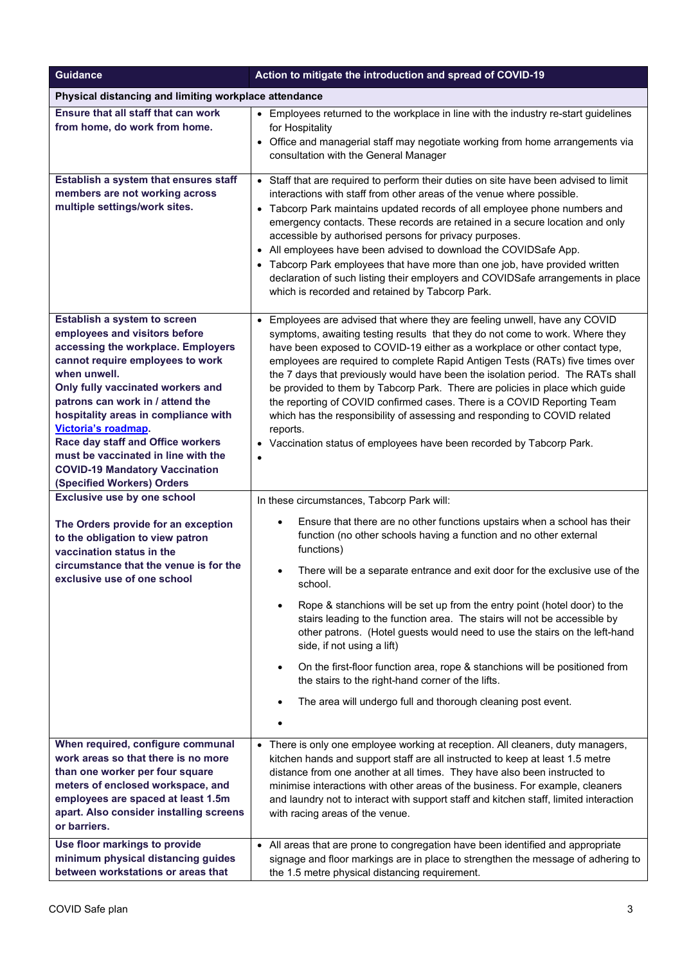| <b>Guidance</b>                                                                                                                                                                                                                                                                                                                                                                                                                                    | Action to mitigate the introduction and spread of COVID-19                                                                                                                                                                                                                                                                                                                                                                                                                                                                                                                                                                                                                                                                                                                                                                                        |
|----------------------------------------------------------------------------------------------------------------------------------------------------------------------------------------------------------------------------------------------------------------------------------------------------------------------------------------------------------------------------------------------------------------------------------------------------|---------------------------------------------------------------------------------------------------------------------------------------------------------------------------------------------------------------------------------------------------------------------------------------------------------------------------------------------------------------------------------------------------------------------------------------------------------------------------------------------------------------------------------------------------------------------------------------------------------------------------------------------------------------------------------------------------------------------------------------------------------------------------------------------------------------------------------------------------|
| Physical distancing and limiting workplace attendance                                                                                                                                                                                                                                                                                                                                                                                              |                                                                                                                                                                                                                                                                                                                                                                                                                                                                                                                                                                                                                                                                                                                                                                                                                                                   |
| Ensure that all staff that can work<br>from home, do work from home.                                                                                                                                                                                                                                                                                                                                                                               | • Employees returned to the workplace in line with the industry re-start guidelines<br>for Hospitality<br>Office and managerial staff may negotiate working from home arrangements via<br>$\bullet$<br>consultation with the General Manager                                                                                                                                                                                                                                                                                                                                                                                                                                                                                                                                                                                                      |
| Establish a system that ensures staff<br>members are not working across<br>multiple settings/work sites.                                                                                                                                                                                                                                                                                                                                           | • Staff that are required to perform their duties on site have been advised to limit<br>interactions with staff from other areas of the venue where possible.<br>• Tabcorp Park maintains updated records of all employee phone numbers and<br>emergency contacts. These records are retained in a secure location and only<br>accessible by authorised persons for privacy purposes.<br>• All employees have been advised to download the COVIDSafe App.<br>• Tabcorp Park employees that have more than one job, have provided written<br>declaration of such listing their employers and COVIDSafe arrangements in place<br>which is recorded and retained by Tabcorp Park.                                                                                                                                                                    |
| Establish a system to screen<br>employees and visitors before<br>accessing the workplace. Employers<br>cannot require employees to work<br>when unwell.<br>Only fully vaccinated workers and<br>patrons can work in / attend the<br>hospitality areas in compliance with<br>Victoria's roadmap.<br>Race day staff and Office workers<br>must be vaccinated in line with the<br><b>COVID-19 Mandatory Vaccination</b><br>(Specified Workers) Orders | • Employees are advised that where they are feeling unwell, have any COVID<br>symptoms, awaiting testing results that they do not come to work. Where they<br>have been exposed to COVID-19 either as a workplace or other contact type,<br>employees are required to complete Rapid Antigen Tests (RATs) five times over<br>the 7 days that previously would have been the isolation period. The RATs shall<br>be provided to them by Tabcorp Park. There are policies in place which guide<br>the reporting of COVID confirmed cases. There is a COVID Reporting Team<br>which has the responsibility of assessing and responding to COVID related<br>reports.<br>• Vaccination status of employees have been recorded by Tabcorp Park.                                                                                                         |
| <b>Exclusive use by one school</b><br>The Orders provide for an exception<br>to the obligation to view patron<br>vaccination status in the<br>circumstance that the venue is for the<br>exclusive use of one school                                                                                                                                                                                                                                | In these circumstances, Tabcorp Park will:<br>Ensure that there are no other functions upstairs when a school has their<br>$\bullet$<br>function (no other schools having a function and no other external<br>functions)<br>There will be a separate entrance and exit door for the exclusive use of the<br>$\bullet$<br>school.<br>Rope & stanchions will be set up from the entry point (hotel door) to the<br>$\bullet$<br>stairs leading to the function area. The stairs will not be accessible by<br>other patrons. (Hotel guests would need to use the stairs on the left-hand<br>side, if not using a lift)<br>On the first-floor function area, rope & stanchions will be positioned from<br>$\bullet$<br>the stairs to the right-hand corner of the lifts.<br>The area will undergo full and thorough cleaning post event.<br>$\bullet$ |
| When required, configure communal<br>work areas so that there is no more<br>than one worker per four square<br>meters of enclosed workspace, and<br>employees are spaced at least 1.5m<br>apart. Also consider installing screens<br>or barriers.<br>Use floor markings to provide                                                                                                                                                                 | • There is only one employee working at reception. All cleaners, duty managers,<br>kitchen hands and support staff are all instructed to keep at least 1.5 metre<br>distance from one another at all times. They have also been instructed to<br>minimise interactions with other areas of the business. For example, cleaners<br>and laundry not to interact with support staff and kitchen staff, limited interaction<br>with racing areas of the venue.<br>• All areas that are prone to congregation have been identified and appropriate                                                                                                                                                                                                                                                                                                     |
| minimum physical distancing guides<br>between workstations or areas that                                                                                                                                                                                                                                                                                                                                                                           | signage and floor markings are in place to strengthen the message of adhering to<br>the 1.5 metre physical distancing requirement.                                                                                                                                                                                                                                                                                                                                                                                                                                                                                                                                                                                                                                                                                                                |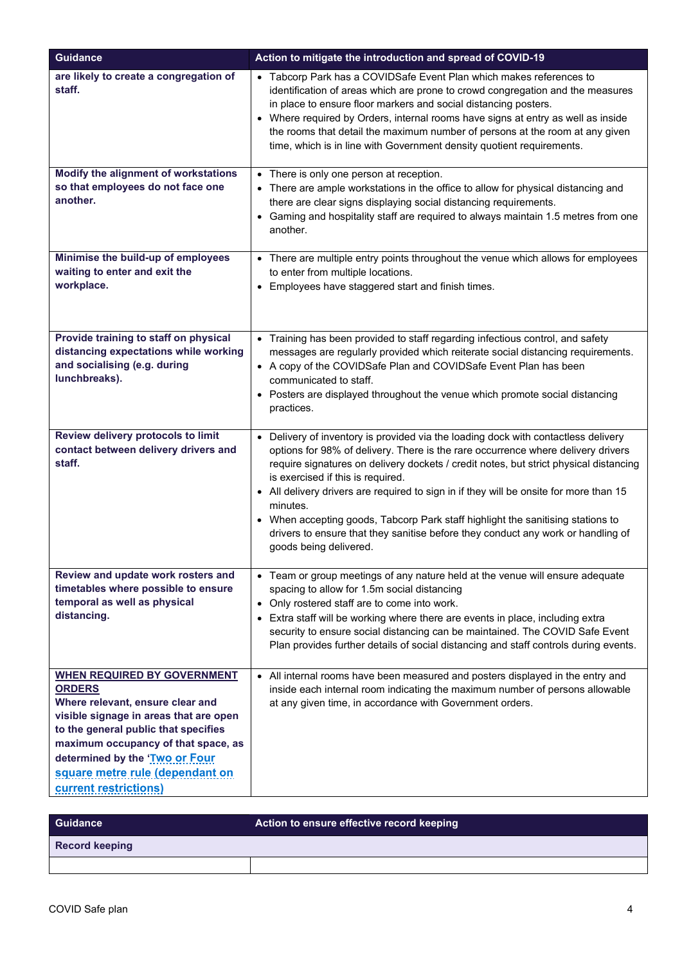| <b>Guidance</b>                                                                                                                                                                                                                                                                                                | Action to mitigate the introduction and spread of COVID-19                                                                                                                                                                                                                                                                                                                                                                                                                                                                                                                                                             |
|----------------------------------------------------------------------------------------------------------------------------------------------------------------------------------------------------------------------------------------------------------------------------------------------------------------|------------------------------------------------------------------------------------------------------------------------------------------------------------------------------------------------------------------------------------------------------------------------------------------------------------------------------------------------------------------------------------------------------------------------------------------------------------------------------------------------------------------------------------------------------------------------------------------------------------------------|
| are likely to create a congregation of<br>staff.                                                                                                                                                                                                                                                               | • Tabcorp Park has a COVIDSafe Event Plan which makes references to<br>identification of areas which are prone to crowd congregation and the measures<br>in place to ensure floor markers and social distancing posters.<br>• Where required by Orders, internal rooms have signs at entry as well as inside<br>the rooms that detail the maximum number of persons at the room at any given<br>time, which is in line with Government density quotient requirements.                                                                                                                                                  |
| Modify the alignment of workstations<br>so that employees do not face one<br>another.                                                                                                                                                                                                                          | • There is only one person at reception.<br>• There are ample workstations in the office to allow for physical distancing and<br>there are clear signs displaying social distancing requirements.<br>• Gaming and hospitality staff are required to always maintain 1.5 metres from one<br>another.                                                                                                                                                                                                                                                                                                                    |
| Minimise the build-up of employees<br>waiting to enter and exit the<br>workplace.                                                                                                                                                                                                                              | • There are multiple entry points throughout the venue which allows for employees<br>to enter from multiple locations.<br>• Employees have staggered start and finish times.                                                                                                                                                                                                                                                                                                                                                                                                                                           |
| Provide training to staff on physical<br>distancing expectations while working<br>and socialising (e.g. during<br>lunchbreaks).                                                                                                                                                                                | • Training has been provided to staff regarding infectious control, and safety<br>messages are regularly provided which reiterate social distancing requirements.<br>• A copy of the COVIDSafe Plan and COVIDSafe Event Plan has been<br>communicated to staff.<br>• Posters are displayed throughout the venue which promote social distancing<br>practices.                                                                                                                                                                                                                                                          |
| Review delivery protocols to limit<br>contact between delivery drivers and<br>staff.                                                                                                                                                                                                                           | Delivery of inventory is provided via the loading dock with contactless delivery<br>$\bullet$<br>options for 98% of delivery. There is the rare occurrence where delivery drivers<br>require signatures on delivery dockets / credit notes, but strict physical distancing<br>is exercised if this is required.<br>• All delivery drivers are required to sign in if they will be onsite for more than 15<br>minutes.<br>• When accepting goods, Tabcorp Park staff highlight the sanitising stations to<br>drivers to ensure that they sanitise before they conduct any work or handling of<br>goods being delivered. |
| Review and update work rosters and<br>timetables where possible to ensure<br>temporal as well as physical<br>distancing.                                                                                                                                                                                       | • Team or group meetings of any nature held at the venue will ensure adequate<br>spacing to allow for 1.5m social distancing<br>Only rostered staff are to come into work.<br>Extra staff will be working where there are events in place, including extra<br>$\bullet$<br>security to ensure social distancing can be maintained. The COVID Safe Event<br>Plan provides further details of social distancing and staff controls during events.                                                                                                                                                                        |
| <b>WHEN REQUIRED BY GOVERNMENT</b><br><b>ORDERS</b><br>Where relevant, ensure clear and<br>visible signage in areas that are open<br>to the general public that specifies<br>maximum occupancy of that space, as<br>determined by the 'Two or Four<br>square metre rule (dependant on<br>current restrictions) | • All internal rooms have been measured and posters displayed in the entry and<br>inside each internal room indicating the maximum number of persons allowable<br>at any given time, in accordance with Government orders.                                                                                                                                                                                                                                                                                                                                                                                             |

| <b>Guidance</b>       | Action to ensure effective record keeping |
|-----------------------|-------------------------------------------|
| <b>Record keeping</b> |                                           |
|                       |                                           |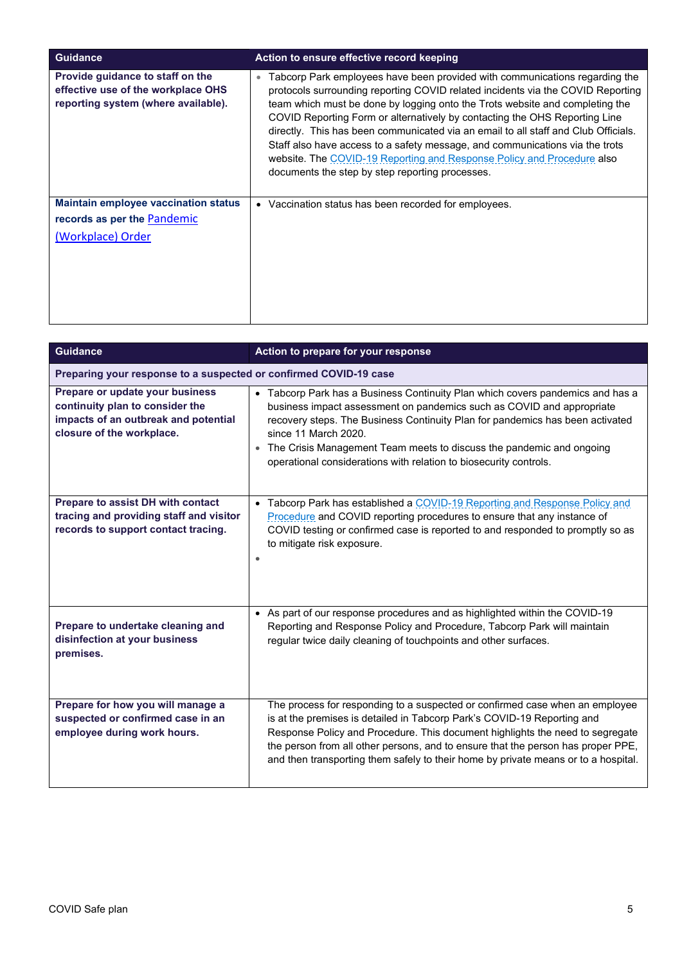| <b>Guidance</b>                                                                                               | Action to ensure effective record keeping                                                                                                                                                                                                                                                                                                                                                                                                                                                                                                                                                                                                    |
|---------------------------------------------------------------------------------------------------------------|----------------------------------------------------------------------------------------------------------------------------------------------------------------------------------------------------------------------------------------------------------------------------------------------------------------------------------------------------------------------------------------------------------------------------------------------------------------------------------------------------------------------------------------------------------------------------------------------------------------------------------------------|
| Provide guidance to staff on the<br>effective use of the workplace OHS<br>reporting system (where available). | Tabcorp Park employees have been provided with communications regarding the<br>$\bullet$<br>protocols surrounding reporting COVID related incidents via the COVID Reporting<br>team which must be done by logging onto the Trots website and completing the<br>COVID Reporting Form or alternatively by contacting the OHS Reporting Line<br>directly. This has been communicated via an email to all staff and Club Officials.<br>Staff also have access to a safety message, and communications via the trots<br>website. The COVID-19 Reporting and Response Policy and Procedure also<br>documents the step by step reporting processes. |
| <b>Maintain employee vaccination status</b><br>records as per the Pandemic<br>(Workplace) Order               | • Vaccination status has been recorded for employees.                                                                                                                                                                                                                                                                                                                                                                                                                                                                                                                                                                                        |

| <b>Guidance</b>                                                                                                                         | Action to prepare for your response                                                                                                                                                                                                                                                                                                                                                                                |
|-----------------------------------------------------------------------------------------------------------------------------------------|--------------------------------------------------------------------------------------------------------------------------------------------------------------------------------------------------------------------------------------------------------------------------------------------------------------------------------------------------------------------------------------------------------------------|
| Preparing your response to a suspected or confirmed COVID-19 case                                                                       |                                                                                                                                                                                                                                                                                                                                                                                                                    |
| Prepare or update your business<br>continuity plan to consider the<br>impacts of an outbreak and potential<br>closure of the workplace. | • Tabcorp Park has a Business Continuity Plan which covers pandemics and has a<br>business impact assessment on pandemics such as COVID and appropriate<br>recovery steps. The Business Continuity Plan for pandemics has been activated<br>since 11 March 2020.<br>• The Crisis Management Team meets to discuss the pandemic and ongoing<br>operational considerations with relation to biosecurity controls.    |
| Prepare to assist DH with contact<br>tracing and providing staff and visitor<br>records to support contact tracing.                     | • Tabcorp Park has established a COVID-19 Reporting and Response Policy and<br>Procedure and COVID reporting procedures to ensure that any instance of<br>COVID testing or confirmed case is reported to and responded to promptly so as<br>to mitigate risk exposure.                                                                                                                                             |
| Prepare to undertake cleaning and<br>disinfection at your business<br>premises.                                                         | • As part of our response procedures and as highlighted within the COVID-19<br>Reporting and Response Policy and Procedure, Tabcorp Park will maintain<br>regular twice daily cleaning of touchpoints and other surfaces.                                                                                                                                                                                          |
| Prepare for how you will manage a<br>suspected or confirmed case in an<br>employee during work hours.                                   | The process for responding to a suspected or confirmed case when an employee<br>is at the premises is detailed in Tabcorp Park's COVID-19 Reporting and<br>Response Policy and Procedure. This document highlights the need to segregate<br>the person from all other persons, and to ensure that the person has proper PPE,<br>and then transporting them safely to their home by private means or to a hospital. |